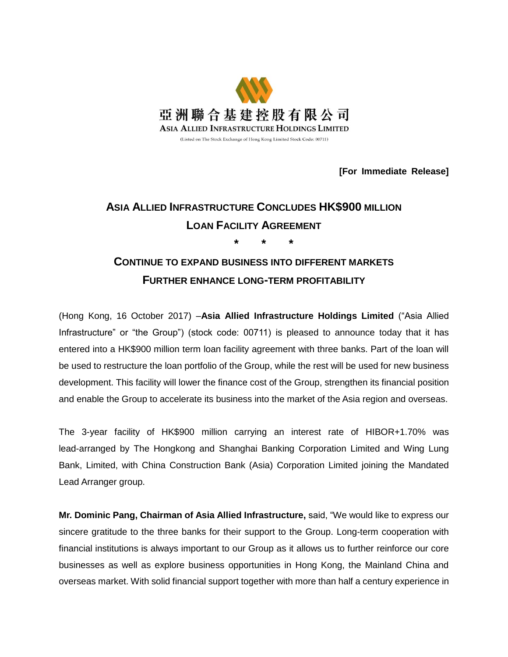

**[For Immediate Release]**

# **ASIA ALLIED INFRASTRUCTURE CONCLUDES HK\$900 MILLION LOAN FACILITY AGREEMENT \* \* \***

## **CONTINUE TO EXPAND BUSINESS INTO DIFFERENT MARKETS FURTHER ENHANCE LONG-TERM PROFITABILITY**

(Hong Kong, 16 October 2017) –**Asia Allied Infrastructure Holdings Limited** ("Asia Allied Infrastructure" or "the Group") (stock code: 00711) is pleased to announce today that it has entered into a HK\$900 million term loan facility agreement with three banks. Part of the loan will be used to restructure the loan portfolio of the Group, while the rest will be used for new business development. This facility will lower the finance cost of the Group, strengthen its financial position and enable the Group to accelerate its business into the market of the Asia region and overseas.

The 3-year facility of HK\$900 million carrying an interest rate of HIBOR+1.70% was lead-arranged by The Hongkong and Shanghai Banking Corporation Limited and Wing Lung Bank, Limited, with China Construction Bank (Asia) Corporation Limited joining the Mandated Lead Arranger group.

**Mr. Dominic Pang, Chairman of Asia Allied Infrastructure,** said, "We would like to express our sincere gratitude to the three banks for their support to the Group. Long-term cooperation with financial institutions is always important to our Group as it allows us to further reinforce our core businesses as well as explore business opportunities in Hong Kong, the Mainland China and overseas market. With solid financial support together with more than half a century experience in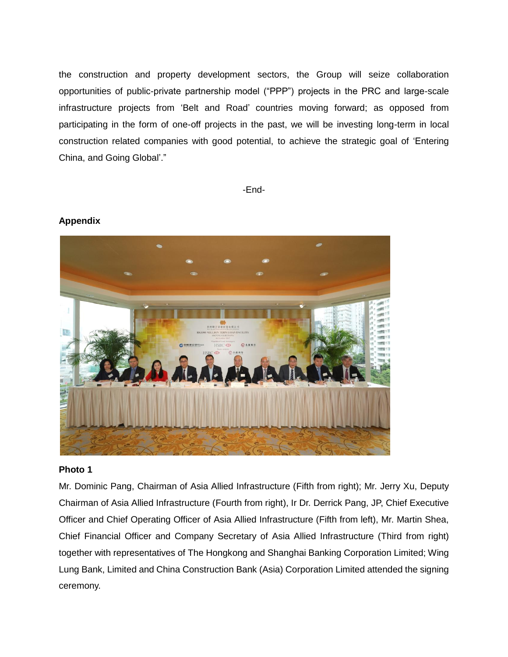the construction and property development sectors, the Group will seize collaboration opportunities of public-private partnership model ("PPP") projects in the PRC and large-scale infrastructure projects from 'Belt and Road' countries moving forward; as opposed from participating in the form of one-off projects in the past, we will be investing long-term in local construction related companies with good potential, to achieve the strategic goal of 'Entering China, and Going Global'."

-End-



## **Appendix**

#### **Photo 1**

Mr. Dominic Pang, Chairman of Asia Allied Infrastructure (Fifth from right); Mr. Jerry Xu, Deputy Chairman of Asia Allied Infrastructure (Fourth from right), Ir Dr. Derrick Pang, JP, Chief Executive Officer and Chief Operating Officer of Asia Allied Infrastructure (Fifth from left), Mr. Martin Shea, Chief Financial Officer and Company Secretary of Asia Allied Infrastructure (Third from right) together with representatives of The Hongkong and Shanghai Banking Corporation Limited; Wing Lung Bank, Limited and China Construction Bank (Asia) Corporation Limited attended the signing ceremony.